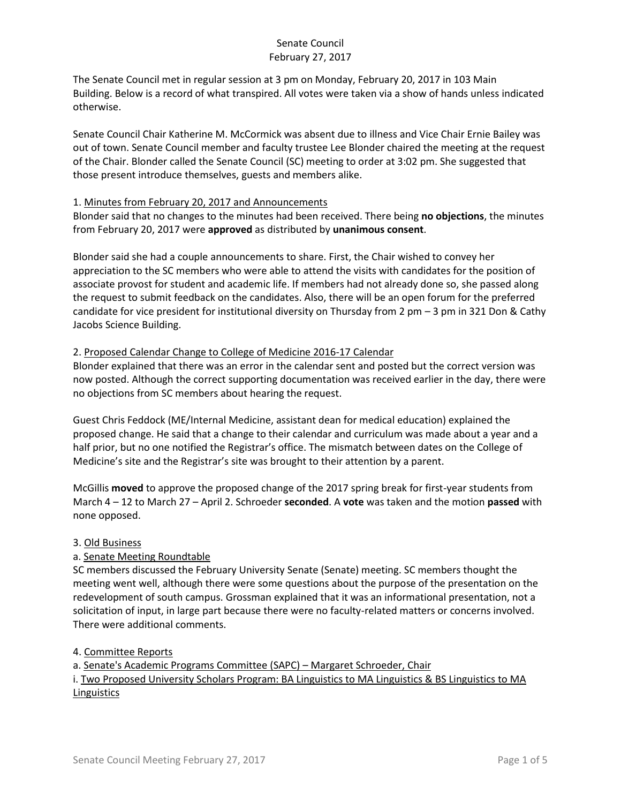The Senate Council met in regular session at 3 pm on Monday, February 20, 2017 in 103 Main Building. Below is a record of what transpired. All votes were taken via a show of hands unless indicated otherwise.

Senate Council Chair Katherine M. McCormick was absent due to illness and Vice Chair Ernie Bailey was out of town. Senate Council member and faculty trustee Lee Blonder chaired the meeting at the request of the Chair. Blonder called the Senate Council (SC) meeting to order at 3:02 pm. She suggested that those present introduce themselves, guests and members alike.

#### 1. Minutes from February 20, 2017 and Announcements

Blonder said that no changes to the minutes had been received. There being **no objections**, the minutes from February 20, 2017 were **approved** as distributed by **unanimous consent**.

Blonder said she had a couple announcements to share. First, the Chair wished to convey her appreciation to the SC members who were able to attend the visits with candidates for the position of associate provost for student and academic life. If members had not already done so, she passed along the request to submit feedback on the candidates. Also, there will be an open forum for the preferred candidate for vice president for institutional diversity on Thursday from 2 pm – 3 pm in 321 Don & Cathy Jacobs Science Building.

### 2. Proposed Calendar Change to College of Medicine 2016-17 Calendar

Blonder explained that there was an error in the calendar sent and posted but the correct version was now posted. Although the correct supporting documentation was received earlier in the day, there were no objections from SC members about hearing the request.

Guest Chris Feddock (ME/Internal Medicine, assistant dean for medical education) explained the proposed change. He said that a change to their calendar and curriculum was made about a year and a half prior, but no one notified the Registrar's office. The mismatch between dates on the College of Medicine's site and the Registrar's site was brought to their attention by a parent.

McGillis **moved** to approve the proposed change of the 2017 spring break for first-year students from March 4 – 12 to March 27 – April 2. Schroeder **seconded**. A **vote** was taken and the motion **passed** with none opposed.

#### 3. Old Business

# a. Senate Meeting Roundtable

SC members discussed the February University Senate (Senate) meeting. SC members thought the meeting went well, although there were some questions about the purpose of the presentation on the redevelopment of south campus. Grossman explained that it was an informational presentation, not a solicitation of input, in large part because there were no faculty-related matters or concerns involved. There were additional comments.

#### 4. Committee Reports

a. Senate's Academic Programs Committee (SAPC) – Margaret Schroeder, Chair

i. Two Proposed University Scholars Program: BA Linguistics to MA Linguistics & BS Linguistics to MA Linguistics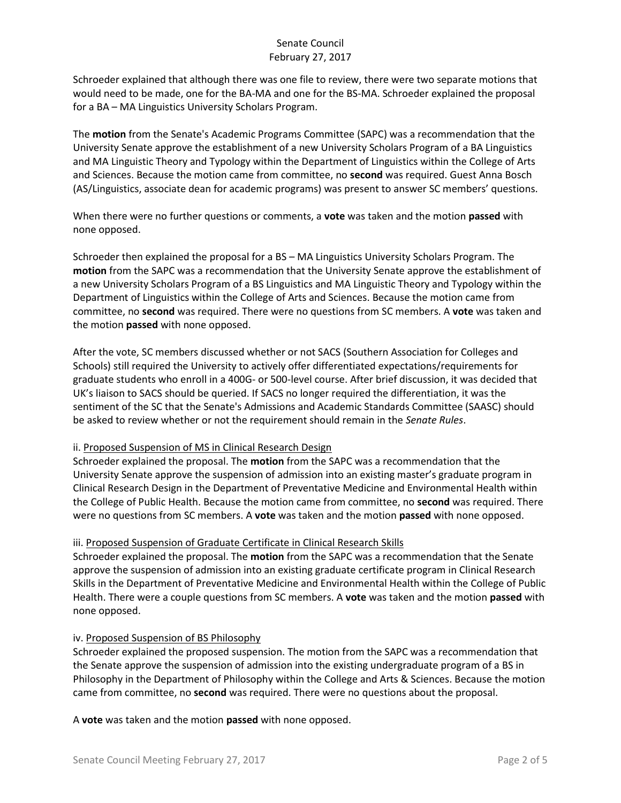Schroeder explained that although there was one file to review, there were two separate motions that would need to be made, one for the BA-MA and one for the BS-MA. Schroeder explained the proposal for a BA – MA Linguistics University Scholars Program.

The **motion** from the Senate's Academic Programs Committee (SAPC) was a recommendation that the University Senate approve the establishment of a new University Scholars Program of a BA Linguistics and MA Linguistic Theory and Typology within the Department of Linguistics within the College of Arts and Sciences. Because the motion came from committee, no **second** was required. Guest Anna Bosch (AS/Linguistics, associate dean for academic programs) was present to answer SC members' questions.

When there were no further questions or comments, a **vote** was taken and the motion **passed** with none opposed.

Schroeder then explained the proposal for a BS – MA Linguistics University Scholars Program. The **motion** from the SAPC was a recommendation that the University Senate approve the establishment of a new University Scholars Program of a BS Linguistics and MA Linguistic Theory and Typology within the Department of Linguistics within the College of Arts and Sciences. Because the motion came from committee, no **second** was required. There were no questions from SC members. A **vote** was taken and the motion **passed** with none opposed.

After the vote, SC members discussed whether or not SACS (Southern Association for Colleges and Schools) still required the University to actively offer differentiated expectations/requirements for graduate students who enroll in a 400G- or 500-level course. After brief discussion, it was decided that UK's liaison to SACS should be queried. If SACS no longer required the differentiation, it was the sentiment of the SC that the Senate's Admissions and Academic Standards Committee (SAASC) should be asked to review whether or not the requirement should remain in the *Senate Rules*.

#### ii. Proposed Suspension of MS in Clinical Research Design

Schroeder explained the proposal. The **motion** from the SAPC was a recommendation that the University Senate approve the suspension of admission into an existing master's graduate program in Clinical Research Design in the Department of Preventative Medicine and Environmental Health within the College of Public Health. Because the motion came from committee, no **second** was required. There were no questions from SC members. A **vote** was taken and the motion **passed** with none opposed.

#### iii. Proposed Suspension of Graduate Certificate in Clinical Research Skills

Schroeder explained the proposal. The **motion** from the SAPC was a recommendation that the Senate approve the suspension of admission into an existing graduate certificate program in Clinical Research Skills in the Department of Preventative Medicine and Environmental Health within the College of Public Health. There were a couple questions from SC members. A **vote** was taken and the motion **passed** with none opposed.

#### iv. Proposed Suspension of BS Philosophy

Schroeder explained the proposed suspension. The motion from the SAPC was a recommendation that the Senate approve the suspension of admission into the existing undergraduate program of a BS in Philosophy in the Department of Philosophy within the College and Arts & Sciences. Because the motion came from committee, no **second** was required. There were no questions about the proposal.

A **vote** was taken and the motion **passed** with none opposed.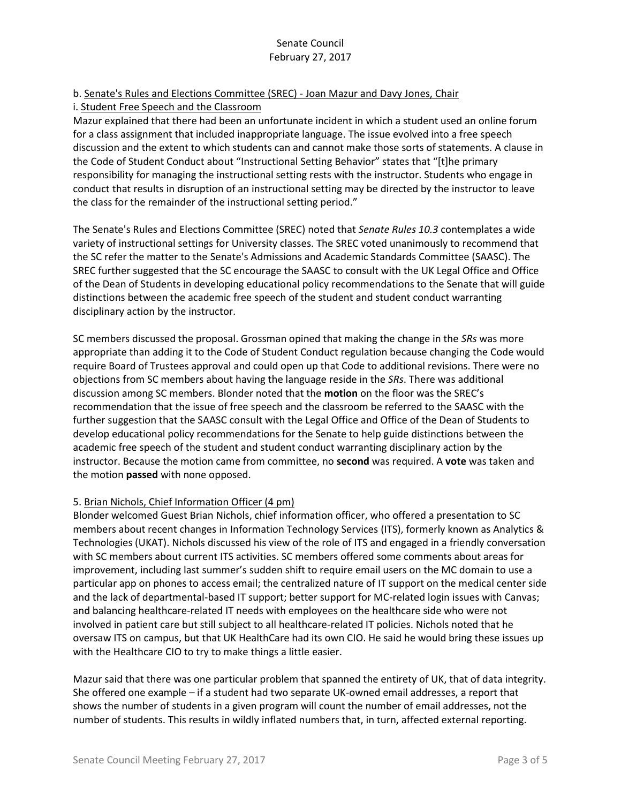## b. Senate's Rules and Elections Committee (SREC) - Joan Mazur and Davy Jones, Chair

### i. Student Free Speech and the Classroom

Mazur explained that there had been an unfortunate incident in which a student used an online forum for a class assignment that included inappropriate language. The issue evolved into a free speech discussion and the extent to which students can and cannot make those sorts of statements. A clause in the Code of Student Conduct about "Instructional Setting Behavior" states that "[t]he primary responsibility for managing the instructional setting rests with the instructor. Students who engage in conduct that results in disruption of an instructional setting may be directed by the instructor to leave the class for the remainder of the instructional setting period."

The Senate's Rules and Elections Committee (SREC) noted that *Senate Rules 10.3* contemplates a wide variety of instructional settings for University classes. The SREC voted unanimously to recommend that the SC refer the matter to the Senate's Admissions and Academic Standards Committee (SAASC). The SREC further suggested that the SC encourage the SAASC to consult with the UK Legal Office and Office of the Dean of Students in developing educational policy recommendations to the Senate that will guide distinctions between the academic free speech of the student and student conduct warranting disciplinary action by the instructor.

SC members discussed the proposal. Grossman opined that making the change in the *SRs* was more appropriate than adding it to the Code of Student Conduct regulation because changing the Code would require Board of Trustees approval and could open up that Code to additional revisions. There were no objections from SC members about having the language reside in the *SRs*. There was additional discussion among SC members. Blonder noted that the **motion** on the floor was the SREC's recommendation that the issue of free speech and the classroom be referred to the SAASC with the further suggestion that the SAASC consult with the Legal Office and Office of the Dean of Students to develop educational policy recommendations for the Senate to help guide distinctions between the academic free speech of the student and student conduct warranting disciplinary action by the instructor. Because the motion came from committee, no **second** was required. A **vote** was taken and the motion **passed** with none opposed.

#### 5. Brian Nichols, Chief Information Officer (4 pm)

Blonder welcomed Guest Brian Nichols, chief information officer, who offered a presentation to SC members about recent changes in Information Technology Services (ITS), formerly known as Analytics & Technologies (UKAT). Nichols discussed his view of the role of ITS and engaged in a friendly conversation with SC members about current ITS activities. SC members offered some comments about areas for improvement, including last summer's sudden shift to require email users on the MC domain to use a particular app on phones to access email; the centralized nature of IT support on the medical center side and the lack of departmental-based IT support; better support for MC-related login issues with Canvas; and balancing healthcare-related IT needs with employees on the healthcare side who were not involved in patient care but still subject to all healthcare-related IT policies. Nichols noted that he oversaw ITS on campus, but that UK HealthCare had its own CIO. He said he would bring these issues up with the Healthcare CIO to try to make things a little easier.

Mazur said that there was one particular problem that spanned the entirety of UK, that of data integrity. She offered one example – if a student had two separate UK-owned email addresses, a report that shows the number of students in a given program will count the number of email addresses, not the number of students. This results in wildly inflated numbers that, in turn, affected external reporting.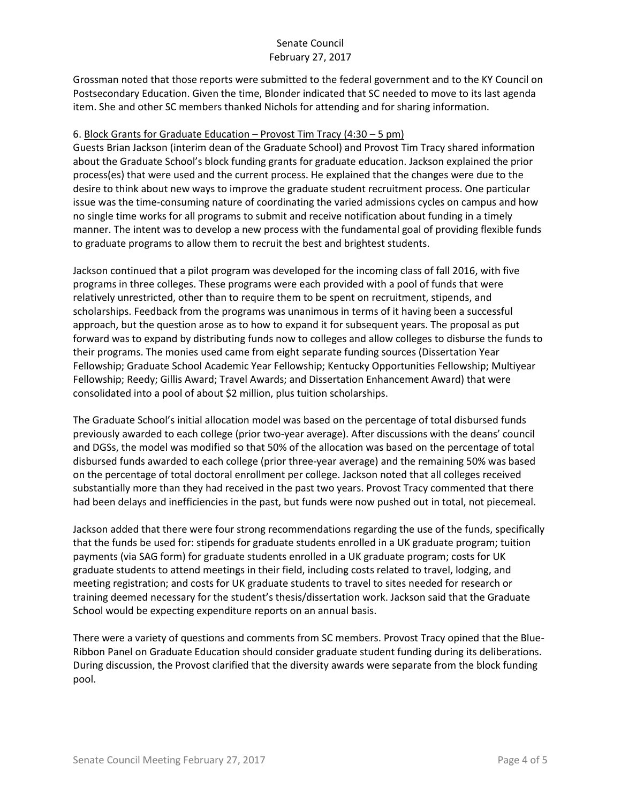Grossman noted that those reports were submitted to the federal government and to the KY Council on Postsecondary Education. Given the time, Blonder indicated that SC needed to move to its last agenda item. She and other SC members thanked Nichols for attending and for sharing information.

### 6. Block Grants for Graduate Education – Provost Tim Tracy (4:30 – 5 pm)

Guests Brian Jackson (interim dean of the Graduate School) and Provost Tim Tracy shared information about the Graduate School's block funding grants for graduate education. Jackson explained the prior process(es) that were used and the current process. He explained that the changes were due to the desire to think about new ways to improve the graduate student recruitment process. One particular issue was the time-consuming nature of coordinating the varied admissions cycles on campus and how no single time works for all programs to submit and receive notification about funding in a timely manner. The intent was to develop a new process with the fundamental goal of providing flexible funds to graduate programs to allow them to recruit the best and brightest students.

Jackson continued that a pilot program was developed for the incoming class of fall 2016, with five programs in three colleges. These programs were each provided with a pool of funds that were relatively unrestricted, other than to require them to be spent on recruitment, stipends, and scholarships. Feedback from the programs was unanimous in terms of it having been a successful approach, but the question arose as to how to expand it for subsequent years. The proposal as put forward was to expand by distributing funds now to colleges and allow colleges to disburse the funds to their programs. The monies used came from eight separate funding sources (Dissertation Year Fellowship; Graduate School Academic Year Fellowship; Kentucky Opportunities Fellowship; Multiyear Fellowship; Reedy; Gillis Award; Travel Awards; and Dissertation Enhancement Award) that were consolidated into a pool of about \$2 million, plus tuition scholarships.

The Graduate School's initial allocation model was based on the percentage of total disbursed funds previously awarded to each college (prior two-year average). After discussions with the deans' council and DGSs, the model was modified so that 50% of the allocation was based on the percentage of total disbursed funds awarded to each college (prior three-year average) and the remaining 50% was based on the percentage of total doctoral enrollment per college. Jackson noted that all colleges received substantially more than they had received in the past two years. Provost Tracy commented that there had been delays and inefficiencies in the past, but funds were now pushed out in total, not piecemeal.

Jackson added that there were four strong recommendations regarding the use of the funds, specifically that the funds be used for: stipends for graduate students enrolled in a UK graduate program; tuition payments (via SAG form) for graduate students enrolled in a UK graduate program; costs for UK graduate students to attend meetings in their field, including costs related to travel, lodging, and meeting registration; and costs for UK graduate students to travel to sites needed for research or training deemed necessary for the student's thesis/dissertation work. Jackson said that the Graduate School would be expecting expenditure reports on an annual basis.

There were a variety of questions and comments from SC members. Provost Tracy opined that the Blue-Ribbon Panel on Graduate Education should consider graduate student funding during its deliberations. During discussion, the Provost clarified that the diversity awards were separate from the block funding pool.